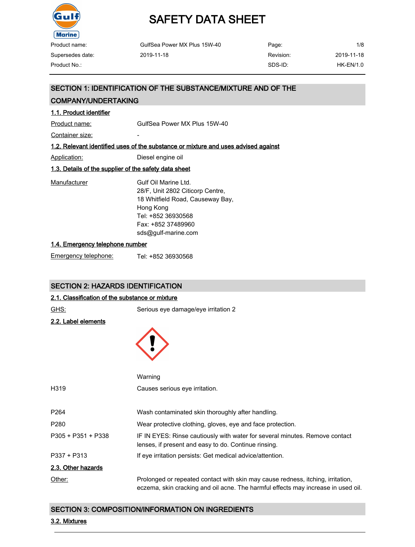

| Product name:    | GulfSea Power MX Plus 15W-40 | Page:     | 1/8        |
|------------------|------------------------------|-----------|------------|
| Supersedes date: | 2019-11-18                   | Revision: | 2019-11-18 |
| Product No.:     |                              | SDS-ID:   | HK-EN/1.0  |

### SECTION 1: IDENTIFICATION OF THE SUBSTANCE/MIXTURE AND OF THE

### COMPANY/UNDERTAKING

### 1.1. Product identifier

Product name: GulfSea Power MX Plus 15W-40

Container size:

### 1.2. Relevant identified uses of the substance or mixture and uses advised against

Application: Diesel engine oil

### 1.3. Details of the supplier of the safety data sheet

| Manufacturer | Gulf Oil Marine Ltd.             |
|--------------|----------------------------------|
|              | 28/F, Unit 2802 Citicorp Centre, |
|              | 18 Whitfield Road, Causeway Bay, |
|              | Hong Kong                        |
|              | Tel: +852 36930568               |
|              | Fax: +852 37489960               |
|              | sds@gulf-marine.com              |
|              |                                  |

#### 1.4. Emergency telephone number

| Emergency telephone: | Tel: +852 36930568 |
|----------------------|--------------------|
|                      |                    |

### SECTION 2: HAZARDS IDENTIFICATION

### 2.1. Classification of the substance or mixture

| GHS:                       | Serious eye damage/eye irritation 2                                                                                                                                  |
|----------------------------|----------------------------------------------------------------------------------------------------------------------------------------------------------------------|
| <u>2.2. Label elements</u> |                                                                                                                                                                      |
|                            |                                                                                                                                                                      |
|                            |                                                                                                                                                                      |
|                            |                                                                                                                                                                      |
|                            |                                                                                                                                                                      |
|                            | Warning                                                                                                                                                              |
| H319                       | Causes serious eye irritation.                                                                                                                                       |
|                            |                                                                                                                                                                      |
| P264                       | Wash contaminated skin thoroughly after handling.                                                                                                                    |
| P280                       | Wear protective clothing, gloves, eye and face protection.                                                                                                           |
| P305 + P351 + P338         | IF IN EYES: Rinse cautiously with water for several minutes. Remove contact<br>lenses, if present and easy to do. Continue rinsing.                                  |
| P337 + P313                | If eye irritation persists: Get medical advice/attention.                                                                                                            |
|                            |                                                                                                                                                                      |
| 2.3. Other hazards         |                                                                                                                                                                      |
| Other:                     | Prolonged or repeated contact with skin may cause redness, itching, irritation,<br>eczema, skin cracking and oil acne. The harmful effects may increase in used oil. |

### SECTION 3: COMPOSITION/INFORMATION ON INGREDIENTS

### 3.2. Mixtures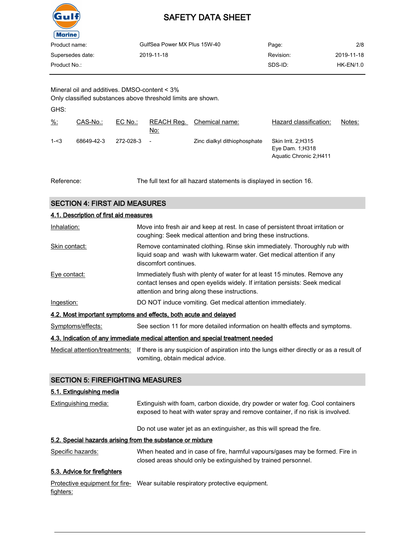

| Product name:    | GulfSea Power MX Plus 15W-40 | Page:     | 2/8        |
|------------------|------------------------------|-----------|------------|
| Supersedes date: | 2019-11-18                   | Revision: | 2019-11-18 |
| Product No.:     |                              | SDS-ID:   | HK-EN/1.0  |
|                  |                              |           |            |

Mineral oil and additives. DMSO-content < 3% Only classified substances above threshold limits are shown.

GHS:

| $\frac{9}{6}$ | CAS-No.:   | $EC$ No.: | REACH Req.<br>No:        | Chemical name:               | Hazard classification:                                              | Notes: |
|---------------|------------|-----------|--------------------------|------------------------------|---------------------------------------------------------------------|--------|
| $1 - 3$       | 68649-42-3 | 272-028-3 | $\overline{\phantom{a}}$ | Zinc dialkyl dithiophosphate | Skin Irrit. 2:H315<br>Eye Dam. $1:$ H318<br>Aquatic Chronic 2; H411 |        |

Reference: The full text for all hazard statements is displayed in section 16.

### SECTION 4: FIRST AID MEASURES

| 4.1. Description of first aid measures                                          |                                                                                                                                                                                                             |  |  |
|---------------------------------------------------------------------------------|-------------------------------------------------------------------------------------------------------------------------------------------------------------------------------------------------------------|--|--|
| Inhalation:                                                                     | Move into fresh air and keep at rest. In case of persistent throat irritation or<br>coughing: Seek medical attention and bring these instructions.                                                          |  |  |
| Skin contact:                                                                   | Remove contaminated clothing. Rinse skin immediately. Thoroughly rub with<br>liquid soap and wash with lukewarm water. Get medical attention if any<br>discomfort continues.                                |  |  |
| Eye contact:                                                                    | Immediately flush with plenty of water for at least 15 minutes. Remove any<br>contact lenses and open eyelids widely. If irritation persists: Seek medical<br>attention and bring along these instructions. |  |  |
| Ingestion:                                                                      | DO NOT induce vomiting. Get medical attention immediately.                                                                                                                                                  |  |  |
| 4.2. Most important symptoms and effects, both acute and delayed                |                                                                                                                                                                                                             |  |  |
| Symptoms/effects:                                                               | See section 11 for more detailed information on health effects and symptoms.                                                                                                                                |  |  |
| 4.3. Indication of any immediate medical attention and special treatment needed |                                                                                                                                                                                                             |  |  |

Medical attention/treatments: If there is any suspicion of aspiration into the lungs either directly or as a result of vomiting, obtain medical advice.

### SECTION 5: FIREFIGHTING MEASURES

### 5.1. Extinguishing media

| <b>Extinguishing media:</b> | Extinguish with foam, carbon dioxide, dry powder or water fog. Cool containers |
|-----------------------------|--------------------------------------------------------------------------------|
|                             | exposed to heat with water spray and remove container, if no risk is involved. |
|                             |                                                                                |

Do not use water jet as an extinguisher, as this will spread the fire.

### 5.2. Special hazards arising from the substance or mixture

Specific hazards: When heated and in case of fire, harmful vapours/gases may be formed. Fire in closed areas should only be extinguished by trained personnel.

### 5.3. Advice for firefighters

Protective equipment for fire- Wear suitable respiratory protective equipment. fighters: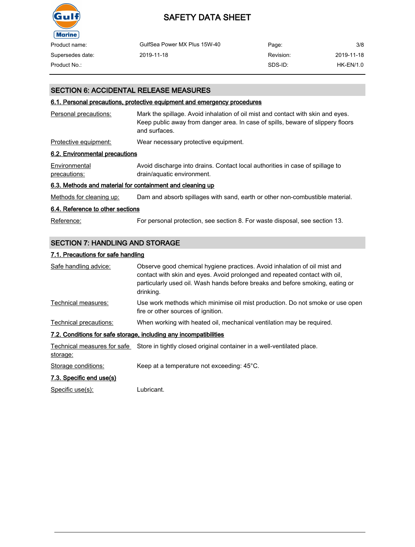

# SAFETY DATA SHEET

| Product name:    | GulfSea Power MX Plus 15W-40 | Page:     | 3/8         |
|------------------|------------------------------|-----------|-------------|
| Supersedes date: | 2019-11-18                   | Revision: | 2019-11-18  |
| Product No.:     |                              | SDS-ID:   | $HK-EN/1.0$ |

### SECTION 6: ACCIDENTAL RELEASE MEASURES

### 6.1. Personal precautions, protective equipment and emergency procedures

| Personal precautions:                                     | Mark the spillage. Avoid inhalation of oil mist and contact with skin and eyes.<br>Keep public away from danger area. In case of spills, beware of slippery floors<br>and surfaces. |  |  |
|-----------------------------------------------------------|-------------------------------------------------------------------------------------------------------------------------------------------------------------------------------------|--|--|
| Protective equipment:                                     | Wear necessary protective equipment.                                                                                                                                                |  |  |
| 6.2. Environmental precautions                            |                                                                                                                                                                                     |  |  |
| Environmental<br>precautions:                             | Avoid discharge into drains. Contact local authorities in case of spillage to<br>drain/aquatic environment.                                                                         |  |  |
| 6.3. Methods and material for containment and cleaning up |                                                                                                                                                                                     |  |  |
| Methods for cleaning up:                                  | Dam and absorb spillages with sand, earth or other non-combustible material.                                                                                                        |  |  |
| 6.4. Reference to other sections                          |                                                                                                                                                                                     |  |  |
| Reference:                                                | For personal protection, see section 8. For waste disposal, see section 13.                                                                                                         |  |  |

## SECTION 7: HANDLING AND STORAGE

### 7.1. Precautions for safe handling

| Safe handling advice:                                             | Observe good chemical hygiene practices. Avoid inhalation of oil mist and<br>contact with skin and eyes. Avoid prolonged and repeated contact with oil,<br>particularly used oil. Wash hands before breaks and before smoking, eating or<br>drinking. |  |  |  |
|-------------------------------------------------------------------|-------------------------------------------------------------------------------------------------------------------------------------------------------------------------------------------------------------------------------------------------------|--|--|--|
| Technical measures:                                               | Use work methods which minimise oil mist production. Do not smoke or use open<br>fire or other sources of ignition.                                                                                                                                   |  |  |  |
| Technical precautions:                                            | When working with heated oil, mechanical ventilation may be required.                                                                                                                                                                                 |  |  |  |
| 7.2. Conditions for safe storage, including any incompatibilities |                                                                                                                                                                                                                                                       |  |  |  |
| storage:                                                          | Technical measures for safe Store in tightly closed original container in a well-ventilated place.                                                                                                                                                    |  |  |  |
| Storage conditions:                                               | Keep at a temperature not exceeding: 45°C.                                                                                                                                                                                                            |  |  |  |
| 7.3. Specific end use(s)                                          |                                                                                                                                                                                                                                                       |  |  |  |

Specific use(s): Lubricant.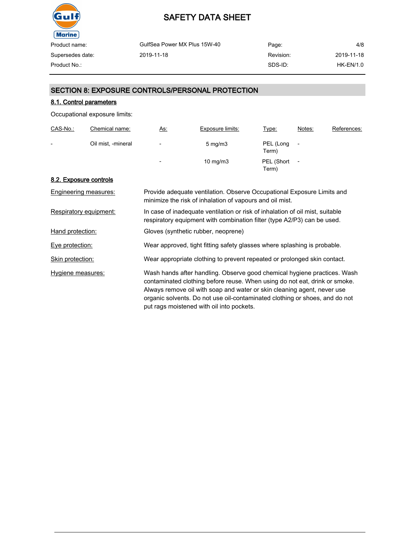

| Product name:    | GulfSea Power MX Plus 15W-40 | Page:     | 4/8         |
|------------------|------------------------------|-----------|-------------|
| Supersedes date: | 2019-11-18                   | Revision: | 2019-11-18  |
| Product No.:     |                              | SDS-ID:   | $HK-EN/1.0$ |
|                  |                              |           |             |

### SECTION 8: EXPOSURE CONTROLS/PERSONAL PROTECTION

### 8.1. Control parameters

Occupational exposure limits:

| CAS-No.:                 | <b>Chemical name:</b> | <u>As:</u>               | <b>Exposure limits:</b> | <u>Type:</u>        | Notes:                   | References: |
|--------------------------|-----------------------|--------------------------|-------------------------|---------------------|--------------------------|-------------|
| $\overline{\phantom{0}}$ | Oil mist, -mineral    | $\overline{\phantom{0}}$ | $5 \text{ mg/m}$ 3      | PEL (Long<br>Term)  | $\overline{\phantom{a}}$ |             |
|                          |                       | $\overline{\phantom{a}}$ | $10 \text{ mg/m}$       | PEL (Short<br>Term) | $\overline{\phantom{a}}$ |             |

### 8.2. Exposure controls

| <b>Engineering measures:</b> | Provide adequate ventilation. Observe Occupational Exposure Limits and<br>minimize the risk of inhalation of vapours and oil mist.                                                                                                                                                                                                                            |
|------------------------------|---------------------------------------------------------------------------------------------------------------------------------------------------------------------------------------------------------------------------------------------------------------------------------------------------------------------------------------------------------------|
| Respiratory equipment:       | In case of inadequate ventilation or risk of inhalation of oil mist, suitable<br>respiratory equipment with combination filter (type A2/P3) can be used.                                                                                                                                                                                                      |
| Hand protection:             | Gloves (synthetic rubber, neoprene)                                                                                                                                                                                                                                                                                                                           |
| Eye protection:              | Wear approved, tight fitting safety glasses where splashing is probable.                                                                                                                                                                                                                                                                                      |
| Skin protection:             | Wear appropriate clothing to prevent repeated or prolonged skin contact.                                                                                                                                                                                                                                                                                      |
| Hygiene measures:            | Wash hands after handling. Observe good chemical hygiene practices. Wash<br>contaminated clothing before reuse. When using do not eat, drink or smoke.<br>Always remove oil with soap and water or skin cleaning agent, never use<br>organic solvents. Do not use oil-contaminated clothing or shoes, and do not<br>put rags moistened with oil into pockets. |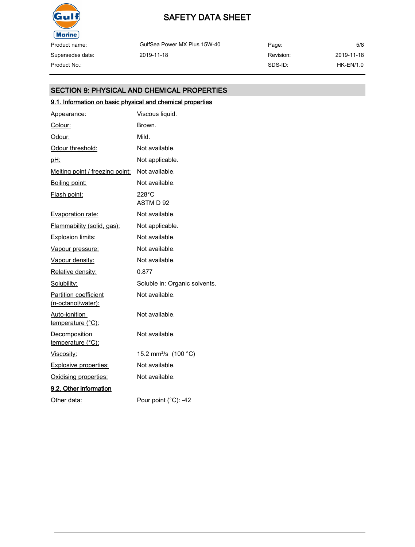

Supersedes date:

# SAFETY DATA SHEET

GulfSea Power MX Plus 15W-40 2019-11-18

Page: Revision: SDS-ID: 5/8 2019-11-18 Product No.: HK-EN/1.0

### SECTION 9: PHYSICAL AND CHEMICAL PROPERTIES

## 9.1. Information on basic physical and chemical properties

| Appearance:                                        | Viscous liquid.                  |
|----------------------------------------------------|----------------------------------|
| Colour:                                            | Brown.                           |
| Odour:                                             | Mild.                            |
| Odour threshold:                                   | Not available.                   |
| <u>pH:</u>                                         | Not applicable.                  |
| Melting point / freezing point:                    | Not available.                   |
| <u>Boiling point:</u>                              | Not available.                   |
| Flash point:                                       | $228^{\circ}$ C<br>ASTM D 92     |
| <b>Evaporation rate:</b>                           | Not available.                   |
| Flammability (solid, gas):                         | Not applicable.                  |
| <b>Explosion limits:</b>                           | Not available.                   |
| Vapour pressure:                                   | Not available.                   |
| Vapour density:                                    | Not available.                   |
| Relative density:                                  | 0.877                            |
| Solubility:                                        | Soluble in: Organic solvents.    |
| <b>Partition coefficient</b><br>(n-octanol/water): | Not available.                   |
| Auto-ignition<br>temperature (°C):                 | Not available.                   |
| Decomposition<br>temperature (°C):                 | Not available.                   |
| <u>Viscosity:</u>                                  | 15.2 mm <sup>2</sup> /s (100 °C) |
| <b>Explosive properties:</b>                       | Not available.                   |
| Oxidising properties:                              | Not available.                   |
| 9.2. Other information                             |                                  |
| Other data:                                        | Pour point (°C): -42             |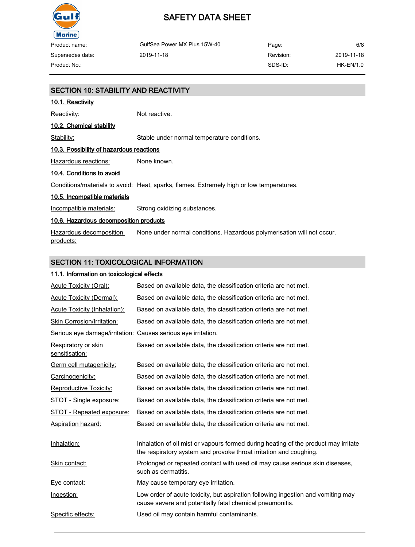

Supersedes date:

## SAFETY DATA SHEET

GulfSea Power MX Plus 15W-40 2019-11-18 Page: Revision: SDS-ID: Product No.: HK-EN/1.0

6/8 2019-11-18

# SECTION 10: STABILITY AND REACTIVITY 10.1. Reactivity Reactivity: Not reactive. 10.2. Chemical stability Stability: Stable under normal temperature conditions. 10.3. Possibility of hazardous reactions Hazardous reactions: None known. 10.4. Conditions to avoid Conditions/materials to avoid: Heat, sparks, flames. Extremely high or low temperatures. 10.5. Incompatible materials Incompatible materials: Strong oxidizing substances. 10.6. Hazardous decomposition products

Hazardous decomposition products: None under normal conditions. Hazardous polymerisation will not occur.

### SECTION 11: TOXICOLOGICAL INFORMATION

### 11.1. Information on toxicological effects

| <b>Acute Toxicity (Oral):</b>                                 | Based on available data, the classification criteria are not met.                                                                                         |
|---------------------------------------------------------------|-----------------------------------------------------------------------------------------------------------------------------------------------------------|
| <b>Acute Toxicity (Dermal):</b>                               | Based on available data, the classification criteria are not met.                                                                                         |
| Acute Toxicity (Inhalation):                                  | Based on available data, the classification criteria are not met.                                                                                         |
| <b>Skin Corrosion/Irritation:</b>                             | Based on available data, the classification criteria are not met.                                                                                         |
| Serious eye damage/irritation: Causes serious eye irritation. |                                                                                                                                                           |
| Respiratory or skin<br>sensitisation:                         | Based on available data, the classification criteria are not met.                                                                                         |
| <b>Germ cell mutagenicity:</b>                                | Based on available data, the classification criteria are not met.                                                                                         |
| Carcinogenicity:                                              | Based on available data, the classification criteria are not met.                                                                                         |
| <b>Reproductive Toxicity:</b>                                 | Based on available data, the classification criteria are not met.                                                                                         |
| <u>STOT - Single exposure:</u>                                | Based on available data, the classification criteria are not met.                                                                                         |
| STOT - Repeated exposure:                                     | Based on available data, the classification criteria are not met.                                                                                         |
| Aspiration hazard:                                            | Based on available data, the classification criteria are not met.                                                                                         |
| Inhalation:                                                   | Inhalation of oil mist or vapours formed during heating of the product may irritate<br>the respiratory system and provoke throat irritation and coughing. |
| Skin contact:                                                 | Prolonged or repeated contact with used oil may cause serious skin diseases,<br>such as dermatitis.                                                       |
| <u>Eye contact:</u>                                           | May cause temporary eye irritation.                                                                                                                       |
| Ingestion:                                                    | Low order of acute toxicity, but aspiration following ingestion and vomiting may<br>cause severe and potentially fatal chemical pneumonitis.              |
| Specific effects:                                             | Used oil may contain harmful contaminants.                                                                                                                |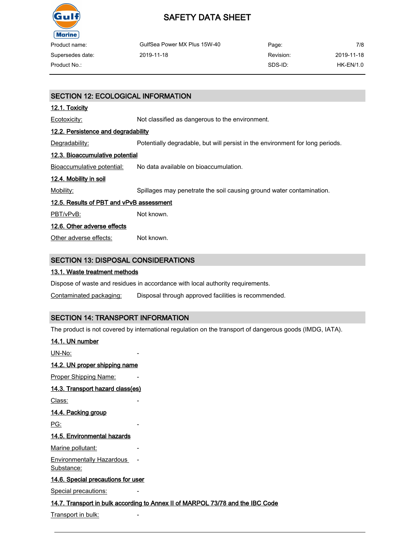

| Product name:    | GulfSea Power MX Plus 15W-40 | Page:     | 7/8        |
|------------------|------------------------------|-----------|------------|
| Supersedes date: | 2019-11-18                   | Revision: | 2019-11-18 |
| Product No.:     |                              | SDS-ID:   | HK-EN/1.0  |

### SECTION 12: ECOLOGICAL INFORMATION

### 12.1. Toxicity

Ecotoxicity: Not classified as dangerous to the environment.

### 12.2. Persistence and degradability

Degradability: Potentially degradable, but will persist in the environment for long periods.

### 12.3. Bioaccumulative potential

Bioaccumulative potential: No data available on bioaccumulation.

### 12.4. Mobility in soil

Mobility: Spillages may penetrate the soil causing ground water contamination.

### 12.5. Results of PBT and vPvB assessment

PBT/vPvB: Not known.

### 12.6. Other adverse effects

Other adverse effects: Not known.

### SECTION 13: DISPOSAL CONSIDERATIONS

### 13.1. Waste treatment methods

Dispose of waste and residues in accordance with local authority requirements.

Contaminated packaging: Disposal through approved facilities is recommended.

### SECTION 14: TRANSPORT INFORMATION

The product is not covered by international regulation on the transport of dangerous goods (IMDG, IATA).

### 14.1. UN number

UN-No:

### 14.2. UN proper shipping name

Proper Shipping Name:

### 14.3. Transport hazard class(es)

Class:

### 14.4. Packing group

PG:

### 14.5. Environmental hazards

Marine pollutant:

Environmentally Hazardous Substance:

### 14.6. Special precautions for user

Special precautions:

### 14.7. Transport in bulk according to Annex II of MARPOL 73/78 and the IBC Code

-

Transport in bulk: